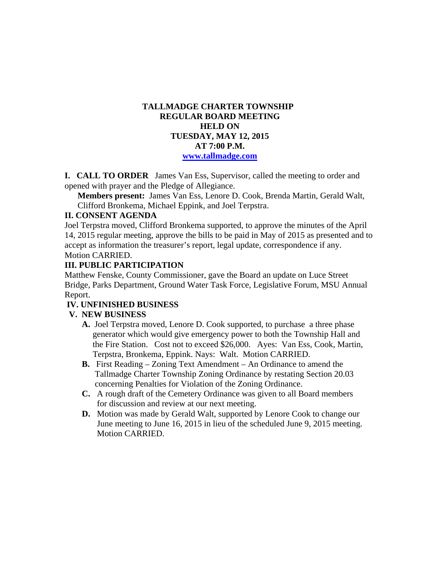## **TALLMADGE CHARTER TOWNSHIP REGULAR BOARD MEETING HELD ON TUESDAY, MAY 12, 2015 AT 7:00 P.M. www.tallmadge.com**

**I. CALL TO ORDER** James Van Ess, Supervisor, called the meeting to order and opened with prayer and the Pledge of Allegiance.

**Members present:** James Van Ess, Lenore D. Cook, Brenda Martin, Gerald Walt, Clifford Bronkema, Michael Eppink, and Joel Terpstra.

### **II. CONSENT AGENDA**

Joel Terpstra moved, Clifford Bronkema supported, to approve the minutes of the April 14, 2015 regular meeting, approve the bills to be paid in May of 2015 as presented and to accept as information the treasurer's report, legal update, correspondence if any. Motion CARRIED.

## **III. PUBLIC PARTICIPATION**

Matthew Fenske, County Commissioner, gave the Board an update on Luce Street Bridge, Parks Department, Ground Water Task Force, Legislative Forum, MSU Annual Report.

# **IV. UNFINISHED BUSINESS**

# **V. NEW BUSINESS**

- **A.** Joel Terpstra moved, Lenore D. Cook supported, to purchase a three phase generator which would give emergency power to both the Township Hall and the Fire Station. Cost not to exceed \$26,000. Ayes: Van Ess, Cook, Martin, Terpstra, Bronkema, Eppink. Nays: Walt. Motion CARRIED.
- **B.** First Reading Zoning Text Amendment An Ordinance to amend the Tallmadge Charter Township Zoning Ordinance by restating Section 20.03 concerning Penalties for Violation of the Zoning Ordinance.
- **C.** A rough draft of the Cemetery Ordinance was given to all Board members for discussion and review at our next meeting.
- **D.** Motion was made by Gerald Walt, supported by Lenore Cook to change our June meeting to June 16, 2015 in lieu of the scheduled June 9, 2015 meeting. Motion CARRIED.